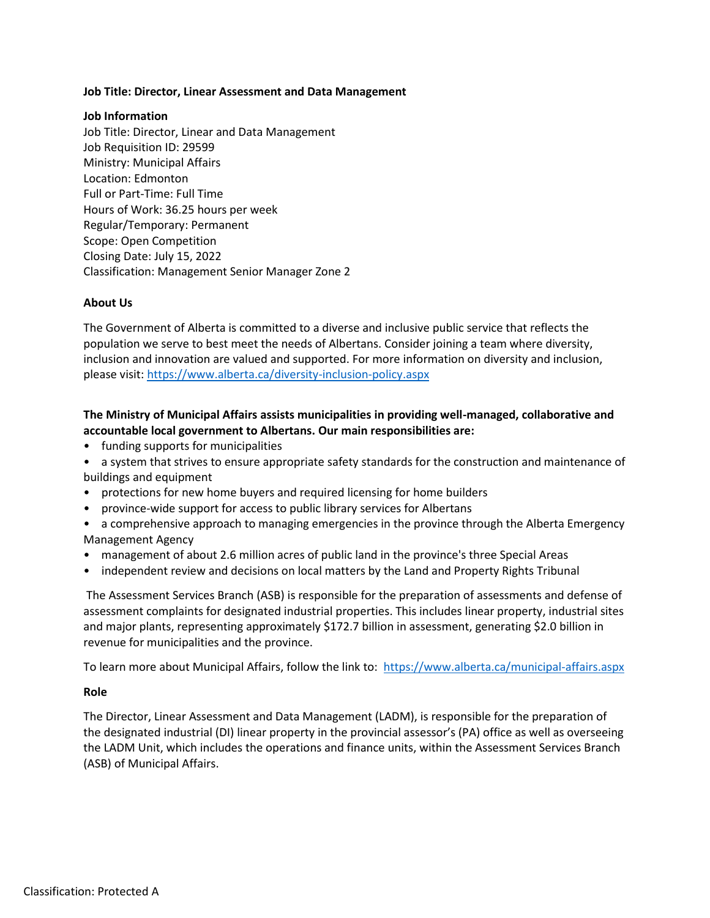### **Job Title: Director, Linear Assessment and Data Management**

#### **Job Information**

Job Title: Director, Linear and Data Management Job Requisition ID: 29599 Ministry: Municipal Affairs Location: Edmonton Full or Part-Time: Full Time Hours of Work: 36.25 hours per week Regular/Temporary: Permanent Scope: Open Competition Closing Date: July 15, 2022 Classification: Management Senior Manager Zone 2

### **About Us**

The Government of Alberta is committed to a diverse and inclusive public service that reflects the population we serve to best meet the needs of Albertans. Consider joining a team where diversity, inclusion and innovation are valued and supported. For more information on diversity and inclusion, please visit: [https://www.alberta.ca/diversity-inclusion-policy.aspx](javascript:void(0);)

# **The Ministry of Municipal Affairs assists municipalities in providing well-managed, collaborative and accountable local government to Albertans. Our main responsibilities are:**

- funding supports for municipalities
- a system that strives to ensure appropriate safety standards for the construction and maintenance of buildings and equipment
- protections for new home buyers and required licensing for home builders
- province-wide support for access to public library services for Albertans
- a comprehensive approach to managing emergencies in the province through the Alberta Emergency Management Agency
- management of about 2.6 million acres of public land in the province's three Special Areas
- independent review and decisions on local matters by the Land and Property Rights Tribunal

The Assessment Services Branch (ASB) is responsible for the preparation of assessments and defense of assessment complaints for designated industrial properties. This includes linear property, industrial sites and major plants, representing approximately \$172.7 billion in assessment, generating \$2.0 billion in revenue for municipalities and the province.

To learn more about Municipal Affairs, follow the link to: [https://www.alberta.ca/municipal-affairs.aspx](javascript:void(0);)

#### **Role**

The Director, Linear Assessment and Data Management (LADM), is responsible for the preparation of the designated industrial (DI) linear property in the provincial assessor's (PA) office as well as overseeing the LADM Unit, which includes the operations and finance units, within the Assessment Services Branch (ASB) of Municipal Affairs.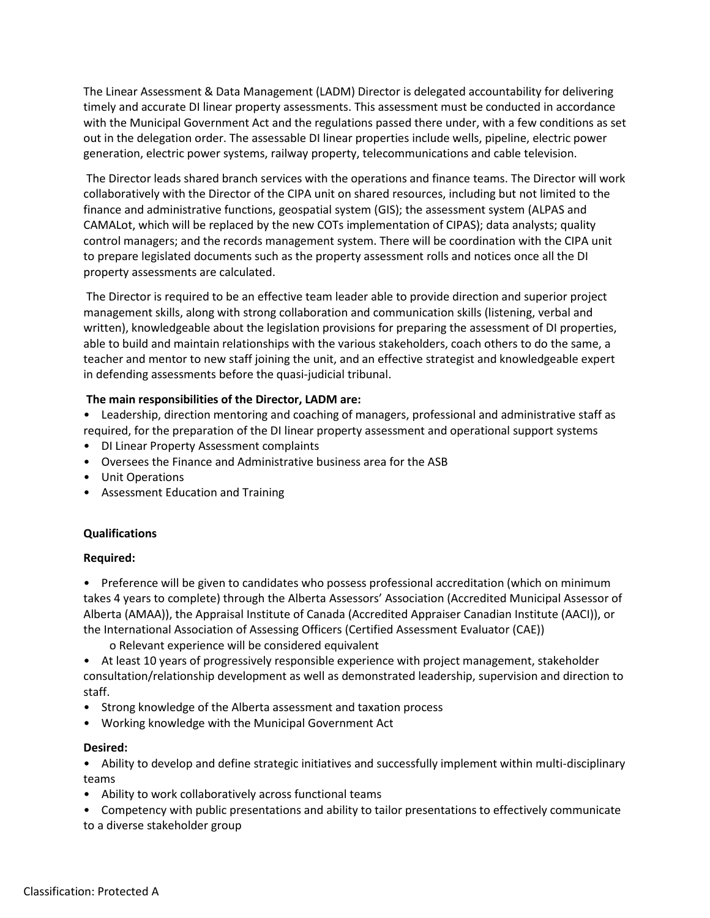The Linear Assessment & Data Management (LADM) Director is delegated accountability for delivering timely and accurate DI linear property assessments. This assessment must be conducted in accordance with the Municipal Government Act and the regulations passed there under, with a few conditions as set out in the delegation order. The assessable DI linear properties include wells, pipeline, electric power generation, electric power systems, railway property, telecommunications and cable television.

The Director leads shared branch services with the operations and finance teams. The Director will work collaboratively with the Director of the CIPA unit on shared resources, including but not limited to the finance and administrative functions, geospatial system (GIS); the assessment system (ALPAS and CAMALot, which will be replaced by the new COTs implementation of CIPAS); data analysts; quality control managers; and the records management system. There will be coordination with the CIPA unit to prepare legislated documents such as the property assessment rolls and notices once all the DI property assessments are calculated.

The Director is required to be an effective team leader able to provide direction and superior project management skills, along with strong collaboration and communication skills (listening, verbal and written), knowledgeable about the legislation provisions for preparing the assessment of DI properties, able to build and maintain relationships with the various stakeholders, coach others to do the same, a teacher and mentor to new staff joining the unit, and an effective strategist and knowledgeable expert in defending assessments before the quasi-judicial tribunal.

### **The main responsibilities of the Director, LADM are:**

• Leadership, direction mentoring and coaching of managers, professional and administrative staff as required, for the preparation of the DI linear property assessment and operational support systems

- DI Linear Property Assessment complaints
- Oversees the Finance and Administrative business area for the ASB
- Unit Operations
- Assessment Education and Training

### **Qualifications**

### **Required:**

• Preference will be given to candidates who possess professional accreditation (which on minimum takes 4 years to complete) through the Alberta Assessors' Association (Accredited Municipal Assessor of Alberta (AMAA)), the Appraisal Institute of Canada (Accredited Appraiser Canadian Institute (AACI)), or the International Association of Assessing Officers (Certified Assessment Evaluator (CAE))

o Relevant experience will be considered equivalent

• At least 10 years of progressively responsible experience with project management, stakeholder consultation/relationship development as well as demonstrated leadership, supervision and direction to staff.

- Strong knowledge of the Alberta assessment and taxation process
- Working knowledge with the Municipal Government Act

### **Desired:**

• Ability to develop and define strategic initiatives and successfully implement within multi-disciplinary teams

• Ability to work collaboratively across functional teams

• Competency with public presentations and ability to tailor presentations to effectively communicate to a diverse stakeholder group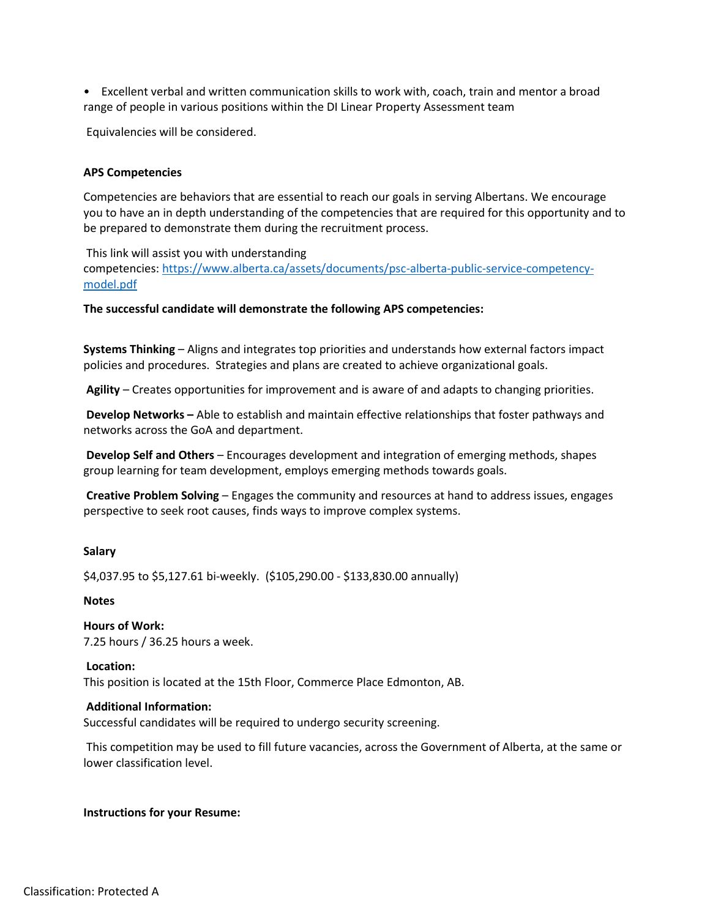• Excellent verbal and written communication skills to work with, coach, train and mentor a broad range of people in various positions within the DI Linear Property Assessment team

Equivalencies will be considered.

### **APS Competencies**

Competencies are behaviors that are essential to reach our goals in serving Albertans. We encourage you to have an in depth understanding of the competencies that are required for this opportunity and to be prepared to demonstrate them during the recruitment process.

This link will assist you with understanding competencies: [https://www.alberta.ca/assets/documents/psc-alberta-public-service-competency](javascript:void(0);)[model.pdf](javascript:void(0);)

#### **The successful candidate will demonstrate the following APS competencies:**

**Systems Thinking** – Aligns and integrates top priorities and understands how external factors impact policies and procedures. Strategies and plans are created to achieve organizational goals.

**Agility** – Creates opportunities for improvement and is aware of and adapts to changing priorities.

**Develop Networks –** Able to establish and maintain effective relationships that foster pathways and networks across the GoA and department.

**Develop Self and Others** – Encourages development and integration of emerging methods, shapes group learning for team development, employs emerging methods towards goals.

**Creative Problem Solving** – Engages the community and resources at hand to address issues, engages perspective to seek root causes, finds ways to improve complex systems.

#### **Salary**

\$4,037.95 to \$5,127.61 bi-weekly. (\$105,290.00 - \$133,830.00 annually)

### **Notes**

**Hours of Work:** 7.25 hours / 36.25 hours a week.

**Location:** This position is located at the 15th Floor, Commerce Place Edmonton, AB.

#### **Additional Information:**

Successful candidates will be required to undergo security screening.

This competition may be used to fill future vacancies, across the Government of Alberta, at the same or lower classification level.

#### **Instructions for your Resume:**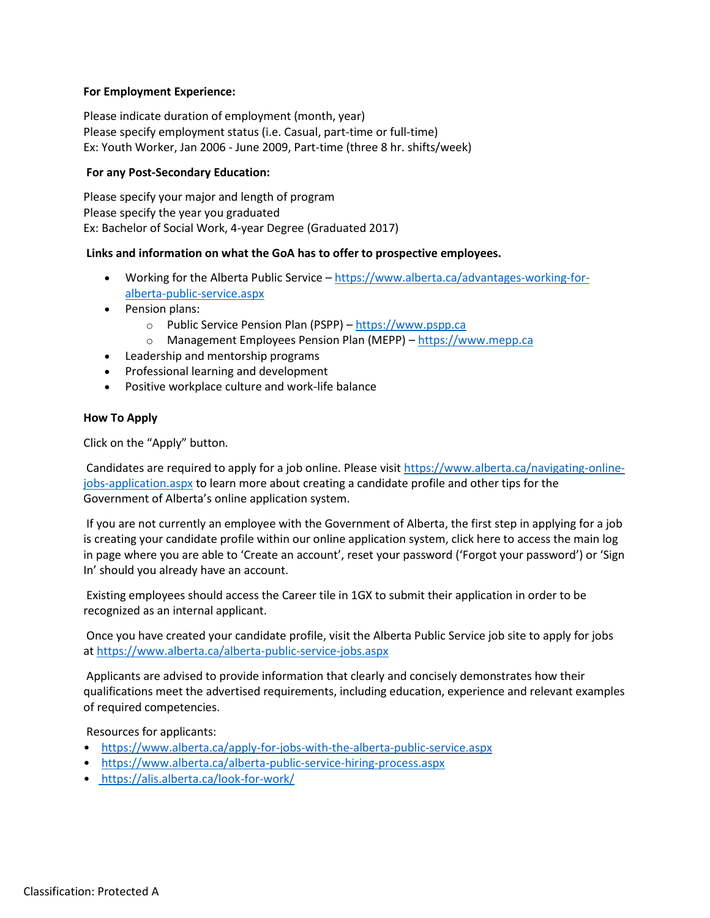# **For Employment Experience:**

Please indicate duration of employment (month, year) Please specify employment status (i.e. Casual, part-time or full-time) Ex: Youth Worker, Jan 2006 - June 2009, Part-time (three 8 hr. shifts/week)

# **For any Post-Secondary Education:**

Please specify your major and length of program Please specify the year you graduated Ex: Bachelor of Social Work, 4-year Degree (Graduated 2017)

### **Links and information on what the GoA has to offer to prospective employees.**

- Working for the Alberta Public Service [https://www.alberta.ca/advantages-working-for](javascript:void(0);)[alberta-public-service.aspx](javascript:void(0);)
- Pension plans:
	- o Public Service Pension Plan (PSPP) [https://www.pspp.ca](javascript:void(0);)
	- o Management Employees Pension Plan (MEPP) [https://www.mepp.ca](javascript:void(0);)
- Leadership and mentorship programs
- Professional learning and development
- Positive workplace culture and work-life balance

# **How To Apply**

Click on the "Apply" button.

Candidates are required to apply for a job online. Please visit [https://www.alberta.ca/navigating-online](javascript:void(0);)[jobs-application.aspx](javascript:void(0);) to learn more about creating a candidate profile and other tips for the Government of Alberta's online application system.

If you are not currently an employee with the Government of Alberta, the first step in applying for a job is creating your candidate profile within our online application system, click here to access the main log in page where you are able to 'Create an account', reset your password ('Forgot your password') or 'Sign In' should you already have an account.

Existing employees should access the Career tile in 1GX to submit their application in order to be recognized as an internal applicant.

Once you have created your candidate profile, visit the Alberta Public Service job site to apply for jobs at [https://www.alberta.ca/alberta-public-service-jobs.aspx](javascript:void(0);)

Applicants are advised to provide information that clearly and concisely demonstrates how their qualifications meet the advertised requirements, including education, experience and relevant examples of required competencies.

Resources for applicants:

- [https://www.alberta.ca/apply-for-jobs-with-the-alberta-public-service.aspx](javascript:void(0);)
- [https://www.alberta.ca/alberta-public-service-hiring-process.aspx](javascript:void(0);)
- [https://alis.alberta.ca/look-for-work/](javascript:void(0);)